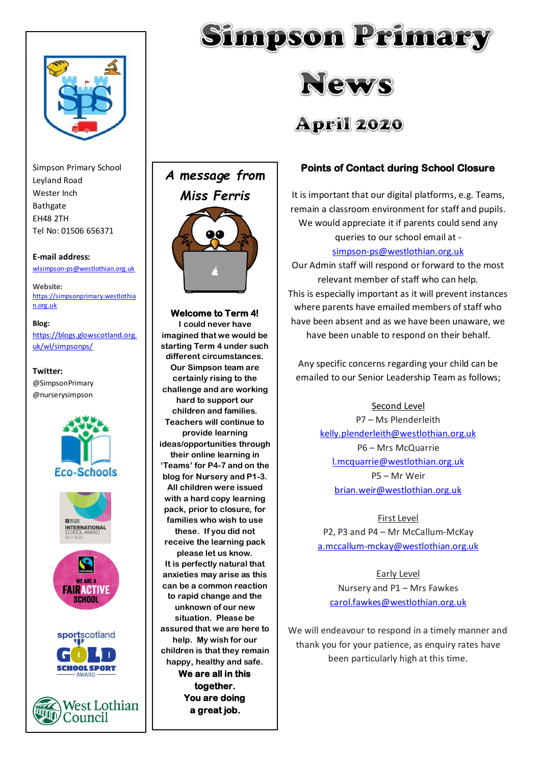

Simpson Primary School Leyland Road Wester Inch Bathgate EH48 2TH Tel No: 01506 656371

#### **E-mail address:**

[wlsimpson-ps@westlothian.org.uk](mailto:wlsimpson-ps@westlothian.org.uk)

**Website:** [https://simpsonprimary.westlothia](https://simpsonprimary.westlothian.org.uk/) [n.org.uk](https://simpsonprimary.westlothian.org.uk/)

#### **Blog:**

[https://blogs.glowscotland.org.](https://blogs.glowscotland.org.uk/wl/simpsonps/) [uk/wl/simpsonps/](https://blogs.glowscotland.org.uk/wl/simpsonps/)

#### **Twitter:**

@SimpsonPrimary @nurserysimpson















**Welcome to Term 4! I could never have imagined that we would be starting Term 4 under such different circumstances. Our Simpson team are certainly rising to the challenge and are working hard to support our children and families. Teachers will continue to provide learning ideas/opportunities through their online learning in 'Teams' for P4-7 and on the blog for Nursery and P1-3. All children were issued with a hard copy learning pack, prior to closure, for families who wish to use these. If you did not receive the learning pack please let us know. It is perfectly natural that anxieties may arise as this can be a common reaction to rapid change and the unknown of our new situation. Please be assured that we are here to help. My wish for our children is that they remain happy, healthy and safe. We are all in this together. You are doing a great job.** 

## **Points of Contact during School Closure**

It is important that our digital platforms, e.g. Teams, remain a classroom environment for staff and pupils. We would appreciate it if parents could send any queries to our school email at -

[simpson-ps@westlothian.org.uk](mailto:simpson-ps@westlothian.org.uk)

Our Admin staff will respond or forward to the most relevant member of staff who can help. This is especially important as it will prevent instances where parents have emailed members of staff who have been absent and as we have been unaware, we have been unable to respond on their behalf.

Any specific concerns regarding your child can be emailed to our Senior Leadership Team as follows;

> Second Level P7 – Ms Plenderleith [kelly.plenderleith@westlothian.org.uk](mailto:kelly.plenderleith@westlothian.org.uk) P6 – Mrs McQuarrie [l.mcquarrie@westlothian.org.uk](mailto:l.mcquarrie@westlothian.org.uk) P5 – Mr Weir [brian.weir@westlothian.org.uk](mailto:brian.weir@westlothian.org.uk)

First Level P2, P3 and P4 – Mr McCallum-McKay [a.mccallum-mckay@westlothian.org.uk](mailto:a.mccallum-mckay@westlothian.org.uk)

Early Level Nursery and P1 – Mrs Fawkes [carol.fawkes@westlothian.org.uk](mailto:carol.fawkes@westlothian.org.uk)

We will endeavour to respond in a timely manner and thank you for your patience, as enquiry rates have been particularly high at this time.





**April 2020**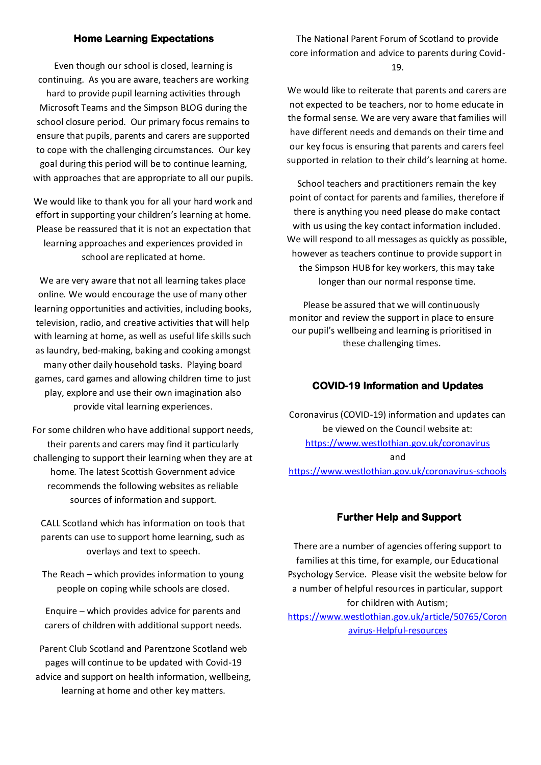#### **Home Learning Expectations**

Even though our school is closed, learning is continuing. As you are aware, teachers are working hard to provide pupil learning activities through Microsoft Teams and the Simpson BLOG during the school closure period. Our primary focus remains to ensure that pupils, parents and carers are supported to cope with the challenging circumstances. Our key goal during this period will be to continue learning, with approaches that are appropriate to all our pupils.

We would like to thank you for all your hard work and effort in supporting your children's learning at home. Please be reassured that it is not an expectation that learning approaches and experiences provided in school are replicated at home.

We are very aware that not all learning takes place online. We would encourage the use of many other learning opportunities and activities, including books, television, radio, and creative activities that will help with learning at home, as well as useful life skills such as laundry, bed-making, baking and cooking amongst many other daily household tasks. Playing board games, card games and allowing children time to just play, explore and use their own imagination also provide vital learning experiences.

For some children who have additional support needs, their parents and carers may find it particularly challenging to support their learning when they are at home. The latest Scottish Government advice recommends the following websites as reliable sources of information and support.

CALL Scotland which has information on tools that parents can use to support home learning, such as overlays and text to speech.

The Reach – which provides information to young people on coping while schools are closed.

Enquire – which provides advice for parents and carers of children with additional support needs.

Parent Club Scotland and Parentzone Scotland web pages will continue to be updated with Covid-19 advice and support on health information, wellbeing, learning at home and other key matters.

The National Parent Forum of Scotland to provide core information and advice to parents during Covid-19.

We would like to reiterate that parents and carers are not expected to be teachers, nor to home educate in the formal sense. We are very aware that families will have different needs and demands on their time and our key focus is ensuring that parents and carers feel supported in relation to their child's learning at home.

School teachers and practitioners remain the key point of contact for parents and families, therefore if there is anything you need please do make contact with us using the key contact information included. We will respond to all messages as quickly as possible, however as teachers continue to provide support in the Simpson HUB for key workers, this may take longer than our normal response time.

Please be assured that we will continuously monitor and review the support in place to ensure our pupil's wellbeing and learning is prioritised in these challenging times.

## **COVID-19 Information and Updates**

Coronavirus (COVID-19) information and updates can be viewed on the Council website at: <https://www.westlothian.gov.uk/coronavirus> and <https://www.westlothian.gov.uk/coronavirus-schools>

#### **Further Help and Support**

There are a number of agencies offering support to families at this time, for example, our Educational Psychology Service. Please visit the website below for a number of helpful resources in particular, support for children with Autism;

[https://www.westlothian.gov.uk/article/50765/Coron](https://www.westlothian.gov.uk/article/50765/Coronavirus-Helpful-resources) [avirus-Helpful-resources](https://www.westlothian.gov.uk/article/50765/Coronavirus-Helpful-resources)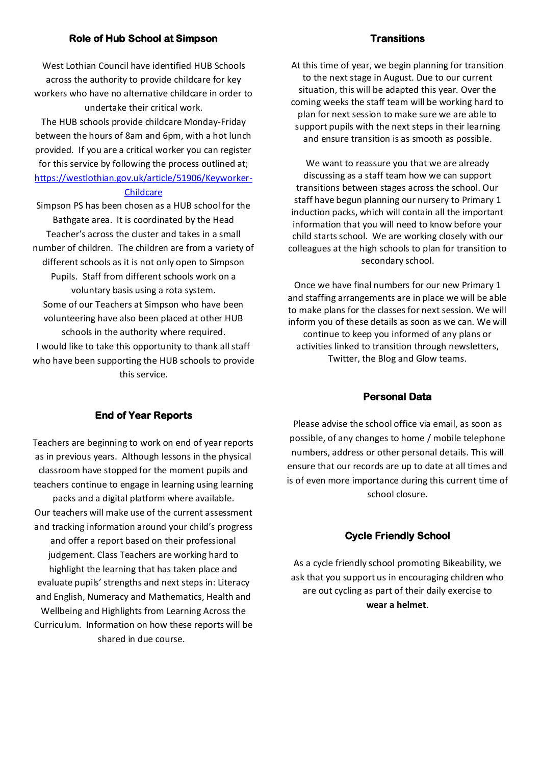## **Role of Hub School at Simpson**

#### **Transitions**

West Lothian Council have identified HUB Schools across the authority to provide childcare for key workers who have no alternative childcare in order to undertake their critical work.

The HUB schools provide childcare Monday-Friday between the hours of 8am and 6pm, with a hot lunch provided. If you are a critical worker you can register for this service by following the process outlined at; [https://westlothian.gov.uk/article/51906/Keyworker-](https://westlothian.gov.uk/article/51906/Keyworker-Childcare)

#### **[Childcare](https://westlothian.gov.uk/article/51906/Keyworker-Childcare)**

Simpson PS has been chosen as a HUB school for the Bathgate area. It is coordinated by the Head Teacher's across the cluster and takes in a small number of children. The children are from a variety of different schools as it is not only open to Simpson Pupils. Staff from different schools work on a voluntary basis using a rota system. Some of our Teachers at Simpson who have been volunteering have also been placed at other HUB schools in the authority where required. I would like to take this opportunity to thank all staff who have been supporting the HUB schools to provide this service.

At this time of year, we begin planning for transition to the next stage in August. Due to our current situation, this will be adapted this year. Over the coming weeks the staff team will be working hard to plan for next session to make sure we are able to support pupils with the next steps in their learning and ensure transition is as smooth as possible.

We want to reassure you that we are already discussing as a staff team how we can support transitions between stages across the school. Our staff have begun planning our nursery to Primary 1 induction packs, which will contain all the important information that you will need to know before your child starts school. We are working closely with our colleagues at the high schools to plan for transition to secondary school.

Once we have final numbers for our new Primary 1 and staffing arrangements are in place we will be able to make plans for the classes for next session. We will inform you of these details as soon as we can. We will continue to keep you informed of any plans or activities linked to transition through newsletters, Twitter, the Blog and Glow teams.

#### **Personal Data**

## **End of Year Reports**

Teachers are beginning to work on end of year reports as in previous years. Although lessons in the physical classroom have stopped for the moment pupils and teachers continue to engage in learning using learning packs and a digital platform where available. Our teachers will make use of the current assessment and tracking information around your child's progress and offer a report based on their professional judgement. Class Teachers are working hard to highlight the learning that has taken place and evaluate pupils' strengths and next steps in: Literacy and English, Numeracy and Mathematics, Health and Wellbeing and Highlights from Learning Across the Curriculum. Information on how these reports will be shared in due course.

Please advise the school office via email, as soon as possible, of any changes to home / mobile telephone numbers, address or other personal details. This will ensure that our records are up to date at all times and is of even more importance during this current time of school closure.

# **Cycle Friendly School**

As a cycle friendly school promoting Bikeability, we ask that you support us in encouraging children who are out cycling as part of their daily exercise to **wear a helmet**.